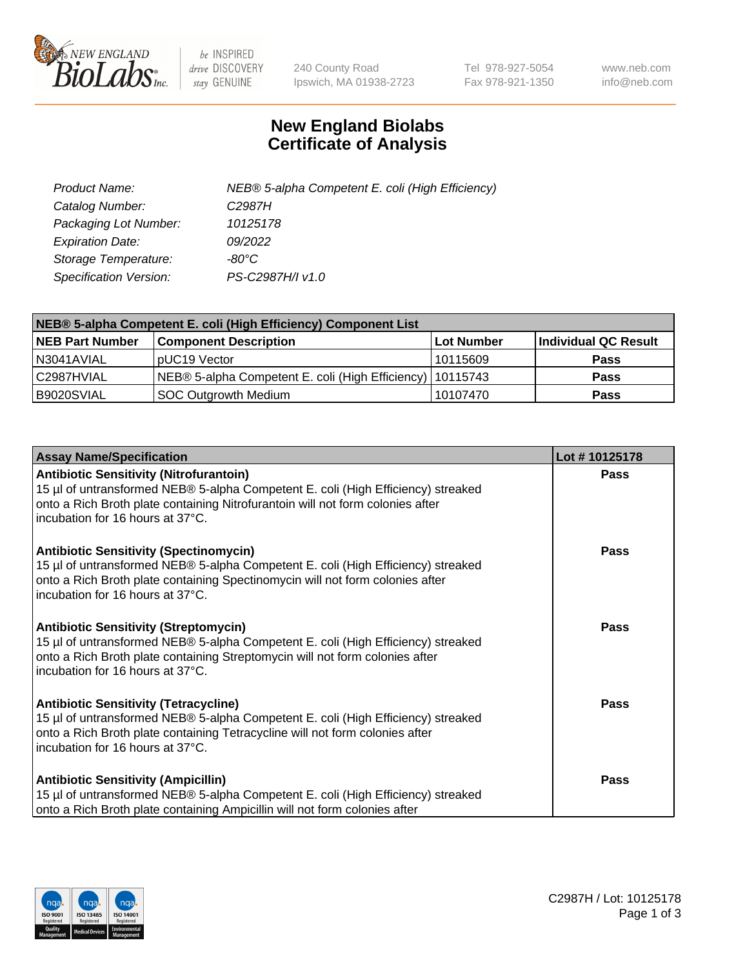

 $be$  INSPIRED drive DISCOVERY stay GENUINE

240 County Road Ipswich, MA 01938-2723 Tel 978-927-5054 Fax 978-921-1350 www.neb.com info@neb.com

## **New England Biolabs Certificate of Analysis**

| Product Name:           | NEB® 5-alpha Competent E. coli (High Efficiency) |
|-------------------------|--------------------------------------------------|
| Catalog Number:         | C <sub>2987</sub> H                              |
| Packaging Lot Number:   | 10125178                                         |
| <b>Expiration Date:</b> | 09/2022                                          |
| Storage Temperature:    | -80°C                                            |
| Specification Version:  | PS-C2987H/I v1.0                                 |

| NEB® 5-alpha Competent E. coli (High Efficiency) Component List |                                                             |            |                      |  |
|-----------------------------------------------------------------|-------------------------------------------------------------|------------|----------------------|--|
| <b>NEB Part Number</b>                                          | <b>Component Description</b>                                | Lot Number | Individual QC Result |  |
| N3041AVIAL                                                      | pUC19 Vector                                                | 10115609   | <b>Pass</b>          |  |
| C2987HVIAL                                                      | NEB® 5-alpha Competent E. coli (High Efficiency)   10115743 |            | <b>Pass</b>          |  |
| B9020SVIAL                                                      | <b>SOC Outgrowth Medium</b>                                 | 10107470   | <b>Pass</b>          |  |

| <b>Assay Name/Specification</b>                                                                                                                                                                                                                          | Lot #10125178 |
|----------------------------------------------------------------------------------------------------------------------------------------------------------------------------------------------------------------------------------------------------------|---------------|
| <b>Antibiotic Sensitivity (Nitrofurantoin)</b><br>15 µl of untransformed NEB® 5-alpha Competent E. coli (High Efficiency) streaked<br>onto a Rich Broth plate containing Nitrofurantoin will not form colonies after<br>incubation for 16 hours at 37°C. | Pass          |
| <b>Antibiotic Sensitivity (Spectinomycin)</b><br>15 µl of untransformed NEB® 5-alpha Competent E. coli (High Efficiency) streaked<br>onto a Rich Broth plate containing Spectinomycin will not form colonies after<br>incubation for 16 hours at 37°C.   | Pass          |
| <b>Antibiotic Sensitivity (Streptomycin)</b><br>15 µl of untransformed NEB® 5-alpha Competent E. coli (High Efficiency) streaked<br>onto a Rich Broth plate containing Streptomycin will not form colonies after<br>incubation for 16 hours at 37°C.     | Pass          |
| <b>Antibiotic Sensitivity (Tetracycline)</b><br>15 µl of untransformed NEB® 5-alpha Competent E. coli (High Efficiency) streaked<br>onto a Rich Broth plate containing Tetracycline will not form colonies after<br>incubation for 16 hours at 37°C.     | Pass          |
| <b>Antibiotic Sensitivity (Ampicillin)</b><br>15 µl of untransformed NEB® 5-alpha Competent E. coli (High Efficiency) streaked<br>onto a Rich Broth plate containing Ampicillin will not form colonies after                                             | Pass          |

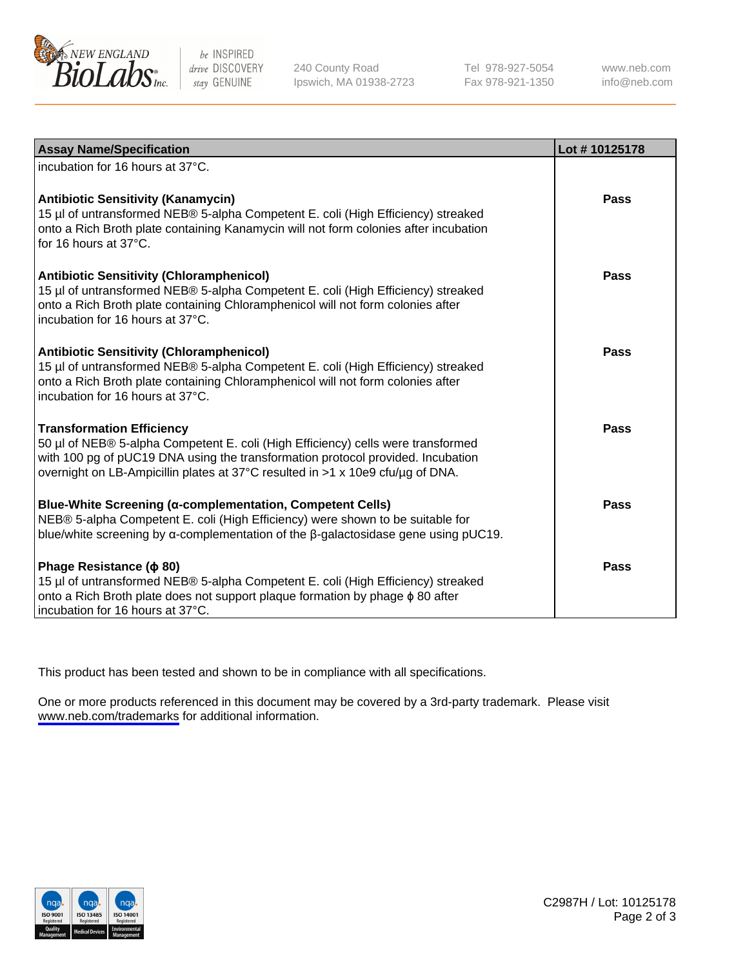

be INSPIRED drive DISCOVERY stay GENUINE

240 County Road Ipswich, MA 01938-2723 Tel 978-927-5054 Fax 978-921-1350

www.neb.com info@neb.com

| <b>Assay Name/Specification</b>                                                                                                                                                                                                                                                           | Lot #10125178 |
|-------------------------------------------------------------------------------------------------------------------------------------------------------------------------------------------------------------------------------------------------------------------------------------------|---------------|
| incubation for 16 hours at 37°C.                                                                                                                                                                                                                                                          |               |
| <b>Antibiotic Sensitivity (Kanamycin)</b><br>15 µl of untransformed NEB® 5-alpha Competent E. coli (High Efficiency) streaked<br>onto a Rich Broth plate containing Kanamycin will not form colonies after incubation<br>for 16 hours at 37°C.                                            | <b>Pass</b>   |
| <b>Antibiotic Sensitivity (Chloramphenicol)</b><br>15 µl of untransformed NEB® 5-alpha Competent E. coli (High Efficiency) streaked<br>onto a Rich Broth plate containing Chloramphenicol will not form colonies after<br>incubation for 16 hours at 37°C.                                | <b>Pass</b>   |
| <b>Antibiotic Sensitivity (Chloramphenicol)</b><br>15 µl of untransformed NEB® 5-alpha Competent E. coli (High Efficiency) streaked<br>onto a Rich Broth plate containing Chloramphenicol will not form colonies after<br>incubation for 16 hours at 37°C.                                | <b>Pass</b>   |
| <b>Transformation Efficiency</b><br>50 µl of NEB® 5-alpha Competent E. coli (High Efficiency) cells were transformed<br>with 100 pg of pUC19 DNA using the transformation protocol provided. Incubation<br>overnight on LB-Ampicillin plates at 37°C resulted in >1 x 10e9 cfu/µg of DNA. | <b>Pass</b>   |
| <b>Blue-White Screening (α-complementation, Competent Cells)</b><br>NEB® 5-alpha Competent E. coli (High Efficiency) were shown to be suitable for<br>blue/white screening by $\alpha$ -complementation of the $\beta$ -galactosidase gene using pUC19.                                   | Pass          |
| Phage Resistance ( $\phi$ 80)<br>15 µl of untransformed NEB® 5-alpha Competent E. coli (High Efficiency) streaked<br>onto a Rich Broth plate does not support plaque formation by phage $\phi$ 80 after<br>incubation for 16 hours at 37°C.                                               | <b>Pass</b>   |

This product has been tested and shown to be in compliance with all specifications.

One or more products referenced in this document may be covered by a 3rd-party trademark. Please visit <www.neb.com/trademarks>for additional information.